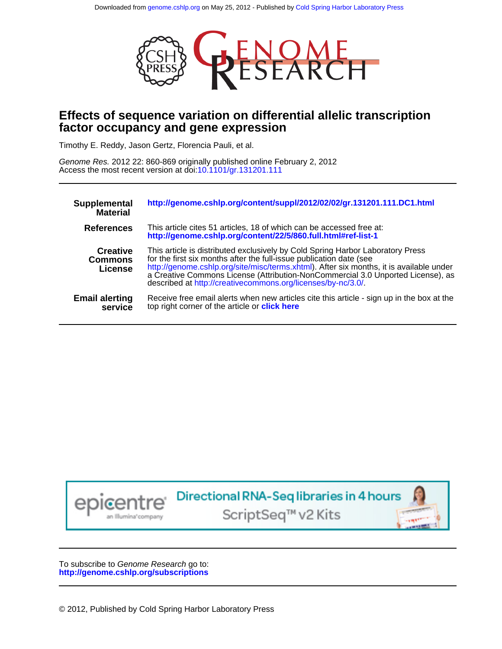

# **factor occupancy and gene expression Effects of sequence variation on differential allelic transcription**

Timothy E. Reddy, Jason Gertz, Florencia Pauli, et al.

Access the most recent version at doi[:10.1101/gr.131201.111](http://genome.cshlp.org/lookup/doi/10.1101/gr.131201.111) Genome Res. 2012 22: 860-869 originally published online February 2, 2012

| Supplemental<br><b>Material</b>              | http://genome.cshlp.org/content/suppl/2012/02/02/gr.131201.111.DC1.html                                                                                                                                                                                                                                                                                                                             |
|----------------------------------------------|-----------------------------------------------------------------------------------------------------------------------------------------------------------------------------------------------------------------------------------------------------------------------------------------------------------------------------------------------------------------------------------------------------|
| <b>References</b>                            | This article cites 51 articles, 18 of which can be accessed free at:<br>http://genome.cshlp.org/content/22/5/860.full.html#ref-list-1                                                                                                                                                                                                                                                               |
| <b>Creative</b><br><b>Commons</b><br>License | This article is distributed exclusively by Cold Spring Harbor Laboratory Press<br>for the first six months after the full-issue publication date (see<br>http://genome.cshlp.org/site/misc/terms.xhtml). After six months, it is available under<br>a Creative Commons License (Attribution-NonCommercial 3.0 Unported License), as<br>described at http://creativecommons.org/licenses/by-nc/3.0/. |
| <b>Email alerting</b><br>service             | Receive free email alerts when new articles cite this article - sign up in the box at the<br>top right corner of the article or <b>click here</b>                                                                                                                                                                                                                                                   |



**<http://genome.cshlp.org/subscriptions>** To subscribe to Genome Research go to: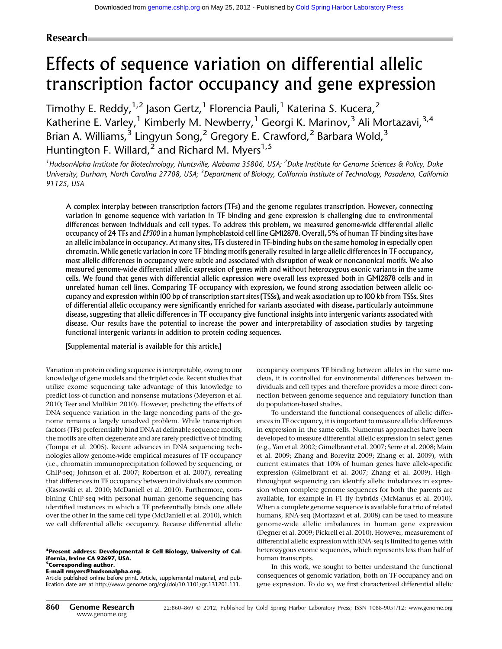# Research

# Effects of sequence variation on differential allelic transcription factor occupancy and gene expression

Timothy E. Reddy,  $1,2$  Jason Gertz, <sup>1</sup> Florencia Pauli, <sup>1</sup> Katerina S. Kucera, <sup>2</sup> Katherine E. Varley,<sup>1</sup> Kimberly M. Newberry,<sup>1</sup> Georgi K. Marinov,<sup>3</sup> Ali Mortazavi,<sup>3,4</sup> Brian A. Williams,<sup>3</sup> Lingyun Song,<sup>2</sup> Gregory E. Crawford,<sup>2</sup> Barbara Wold,<sup>3</sup> Huntington F. Willard,<sup>2</sup> and Richard M. Myers<sup>1,5</sup>

 $^1$ HudsonAlpha Institute for Biotechnology, Huntsville, Alabama 35806, USA;  $^2$ Duke Institute for Genome Sciences & Policy, Duke University, Durham, North Carolina 27708, USA; <sup>3</sup>Department of Biology, California Institute of Technology, Pasadena, California 91125, USA

A complex interplay between transcription factors (TFs) and the genome regulates transcription. However, connecting variation in genome sequence with variation in TF binding and gene expression is challenging due to environmental differences between individuals and cell types. To address this problem, we measured genome-wide differential allelic occupancy of 24 TFs and EP300 in a human lymphoblastoid cell line GM12878. Overall, 5% of human TF binding sites have an allelic imbalance in occupancy. At many sites, TFs clustered in TF-binding hubs on the same homolog in especially open chromatin. While genetic variation in core TF binding motifs generally resulted in large allelic differences in TF occupancy, most allelic differences in occupancy were subtle and associated with disruption of weak or noncanonical motifs. We also measured genome-wide differential allelic expression of genes with and without heterozygous exonic variants in the same cells. We found that genes with differential allelic expression were overall less expressed both in GM12878 cells and in unrelated human cell lines. Comparing TF occupancy with expression, we found strong association between allelic occupancy and expression within 100 bp of transcription start sites (TSSs), and weak association up to 100 kb from TSSs. Sites of differential allelic occupancy were significantly enriched for variants associated with disease, particularly autoimmune disease, suggesting that allelic differences in TF occupancy give functional insights into intergenic variants associated with disease. Our results have the potential to increase the power and interpretability of association studies by targeting functional intergenic variants in addition to protein coding sequences.

[Supplemental material is available for this article.]

Variation in protein coding sequence is interpretable, owing to our knowledge of gene models and the triplet code. Recent studies that utilize exome sequencing take advantage of this knowledge to predict loss-of-function and nonsense mutations (Meyerson et al. 2010; Teer and Mullikin 2010). However, predicting the effects of DNA sequence variation in the large noncoding parts of the genome remains a largely unsolved problem. While transcription factors (TFs) preferentially bind DNA at definable sequence motifs, the motifs are often degenerate and are rarely predictive of binding (Tompa et al. 2005). Recent advances in DNA sequencing technologies allow genome-wide empirical measures of TF occupancy (i.e., chromatin immunoprecipitation followed by sequencing, or ChIP-seq; Johnson et al. 2007; Robertson et al. 2007), revealing that differences in TF occupancy between individuals are common (Kasowski et al. 2010; McDaniell et al. 2010). Furthermore, combining ChIP-seq with personal human genome sequencing has identified instances in which a TF preferentially binds one allele over the other in the same cell type (McDaniell et al. 2010), which we call differential allelic occupancy. Because differential allelic

#### <sup>4</sup>Present address: Developmental & Cell Biology, University of California, Irvine CA 92697, USA.

#### 5 Corresponding author. E-mail [rmyers@hudsonalpha.org.](mailto:rmyers@hudsonalpha.org)

Article published online before print. Article, supplemental material, and publication date are at http://www.genome.org/cgi/doi/10.1101/gr.131201.111.

occupancy compares TF binding between alleles in the same nucleus, it is controlled for environmental differences between individuals and cell types and therefore provides a more direct connection between genome sequence and regulatory function than do population-based studies.

To understand the functional consequences of allelic differences in TF occupancy, it is important to measure allelic differences in expression in the same cells. Numerous approaches have been developed to measure differential allelic expression in select genes (e.g., Yan et al. 2002; Gimelbrant et al. 2007; Serre et al. 2008; Main et al. 2009; Zhang and Borevitz 2009; Zhang et al. 2009), with current estimates that 10% of human genes have allele-specific expression (Gimelbrant et al. 2007; Zhang et al. 2009). Highthroughput sequencing can identify allelic imbalances in expression when complete genome sequences for both the parents are available, for example in F1 fly hybrids (McManus et al. 2010). When a complete genome sequence is available for a trio of related humans, RNA-seq (Mortazavi et al. 2008) can be used to measure genome-wide allelic imbalances in human gene expression (Degner et al. 2009; Pickrell et al. 2010). However, measurement of differential allelic expression with RNA-seq is limited to genes with heterozygous exonic sequences, which represents less than half of human transcripts.

In this work, we sought to better understand the functional consequences of genomic variation, both on TF occupancy and on gene expression. To do so, we first characterized differential allelic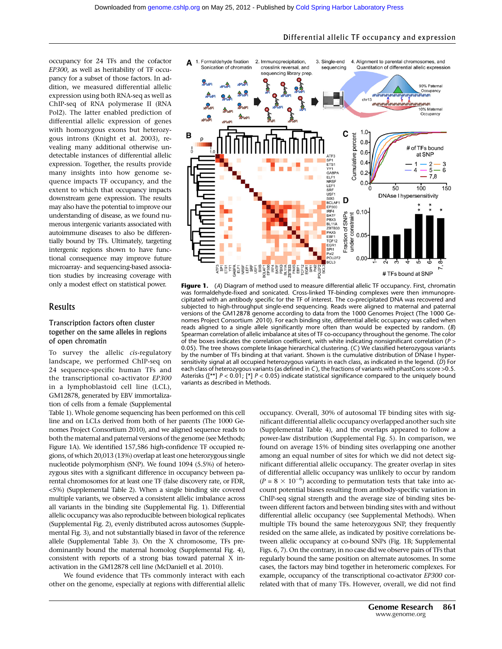occupancy for 24 TFs and the cofactor EP300, as well as heritability of TF occupancy for a subset of those factors. In addition, we measured differential allelic expression using both RNA-seq as well as ChIP-seq of RNA polymerase II (RNA Pol2). The latter enabled prediction of differential allelic expression of genes with homozygous exons but heterozygous introns (Knight et al. 2003), revealing many additional otherwise undetectable instances of differential allelic expression. Together, the results provide many insights into how genome sequence impacts TF occupancy, and the extent to which that occupancy impacts downstream gene expression. The results may also have the potential to improve our understanding of disease, as we found numerous intergenic variants associated with autoimmune diseases to also be differentially bound by TFs. Ultimately, targeting intergenic regions shown to have functional consequence may improve future microarray- and sequencing-based association studies by increasing coverage with only a modest effect on statistical power.

# Results

# Transcription factors often cluster together on the same alleles in regions of open chromatin

To survey the allelic cis-regulatory landscape, we performed ChIP-seq on 24 sequence-specific human TFs and the transcriptional co-activator EP300 in a lymphoblastoid cell line (LCL), GM12878, generated by EBV immortalization of cells from a female (Supplemental

Table 1). Whole genome sequencing has been performed on this cell line and on LCLs derived from both of her parents (The 1000 Genomes Project Consortium 2010), and we aligned sequence reads to both the maternal and paternal versions of the genome (see Methods; Figure 1A). We identified 157,586 high-confidence TF occupied regions, of which 20,013 (13%) overlap at least one heterozygous single nucleotide polymorphism (SNP). We found 1094 (5.5%) of heterozygous sites with a significant difference in occupancy between parental chromosomes for at least one TF (false discovery rate, or FDR, <5%) (Supplemental Table 2). When a single binding site covered multiple variants, we observed a consistent allelic imbalance across all variants in the binding site (Supplemental Fig. 1). Differential allelic occupancy was also reproducible between biological replicates (Supplemental Fig. 2), evenly distributed across autosomes (Supplemental Fig. 3), and not substantially biased in favor of the reference allele (Supplemental Table 3). On the X chromosome, TFs predominantly bound the maternal homolog (Supplemental Fig. 4), consistent with reports of a strong bias toward paternal X inactivation in the GM12878 cell line (McDaniell et al. 2010).

We found evidence that TFs commonly interact with each other on the genome, especially at regions with differential allelic



Figure 1. (A) Diagram of method used to measure differential allelic TF occupancy. First, chromatin was formaldehyde-fixed and sonicated. Cross-linked TF-binding complexes were then immunoprecipitated with an antibody specific for the TF of interest. The co-precipitated DNA was recovered and subjected to high-throughput single-end sequencing. Reads were aligned to maternal and paternal versions of the GM12878 genome according to data from the 1000 Genomes Project (The 1000 Genomes Project Consortium 2010). For each binding site, differential allelic occupancy was called when reads aligned to a single allele significantly more often than would be expected by random.  $(B)$ Spearman correlation of allelic imbalance at sites of TF co-occupancy throughout the genome. The color of the boxes indicates the correlation coefficient, with white indicating nonsignificant correlation ( $P >$ 0.05). The tree shows complete linkage hierarchical clustering. (C ) We classified heterozygous variants by the number of TFs binding at that variant. Shown is the cumulative distribution of DNase I hypersensitivity signal at all occupied heterozygous variants in each class, as indicated in the legend. (D) For each class of heterozygous variants (as defined in C ), the fractions of variants with phastCons score >0.5. Asterisks ([\*\*]  $P < 0.01$ ; [\*]  $P < 0.05$ ) indicate statistical significance compared to the uniquely bound variants as described in Methods.

occupancy. Overall, 30% of autosomal TF binding sites with significant differential allelic occupancy overlapped another such site (Supplemental Table 4), and the overlaps appeared to follow a power-law distribution (Supplemental Fig. 5). In comparison, we found on average 15% of binding sites overlapping one another among an equal number of sites for which we did not detect significant differential allelic occupancy. The greater overlap in sites of differential allelic occupancy was unlikely to occur by random  $(P = 8 \times 10^{-6})$  according to permutation tests that take into account potential biases resulting from antibody-specific variation in ChIP-seq signal strength and the average size of binding sites between different factors and between binding sites with and without differential allelic occupancy (see Supplemental Methods). When multiple TFs bound the same heterozygous SNP, they frequently resided on the same allele, as indicated by positive correlations between allelic occupancy at co-bound SNPs (Fig. 1B; Supplemental Figs. 6, 7). On the contrary, in no case did we observe pairs of TFs that regularly bound the same position on alternate autosomes. In some cases, the factors may bind together in heteromeric complexes. For example, occupancy of the transcriptional co-activator EP300 correlated with that of many TFs. However, overall, we did not find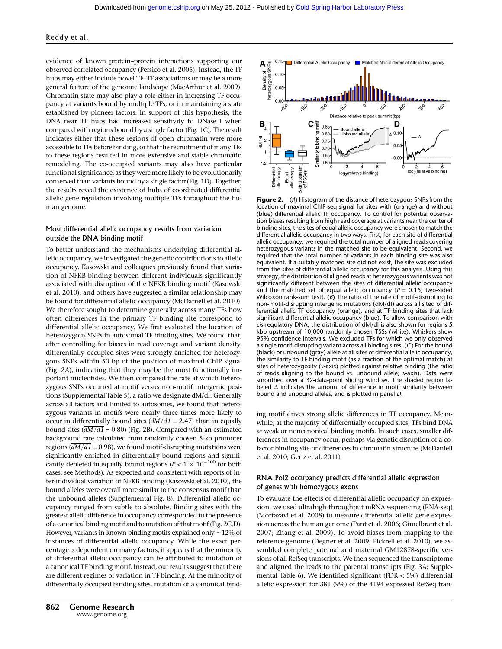evidence of known protein–protein interactions supporting our observed correlated occupancy (Persico et al. 2005). Instead, the TF hubs may either include novel TF–TF associations or may be a more general feature of the genomic landscape (MacArthur et al. 2009). Chromatin state may also play a role either in increasing TF occupancy at variants bound by multiple TFs, or in maintaining a state established by pioneer factors. In support of this hypothesis, the DNA near TF hubs had increased sensitivity to DNase I when compared with regions bound by a single factor (Fig. 1C). The result indicates either that these regions of open chromatin were more accessible to TFs before binding, or that the recruitment of many TFs to these regions resulted in more extensive and stable chromatin remodeling. The co-occupied variants may also have particular functional significance, as they were more likely to be evolutionarily conserved than variants bound by a single factor (Fig. 1D). Together, the results reveal the existence of hubs of coordinated differential allelic gene regulation involving multiple TFs throughout the human genome.

# Most differential allelic occupancy results from variation outside the DNA binding motif

To better understand the mechanisms underlying differential allelic occupancy, we investigated the genetic contributions to allelic occupancy. Kasowski and colleagues previously found that variation of NFKB binding between different individuals significantly associated with disruption of the NFKB binding motif (Kasowski et al. 2010), and others have suggested a similar relationship may be found for differential allelic occupancy (McDaniell et al. 2010). We therefore sought to determine generally across many TFs how often differences in the primary TF binding site correspond to differential allelic occupancy. We first evaluated the location of heterozygous SNPs in autosomal TF binding sites. We found that, after controlling for biases in read coverage and variant density, differentially occupied sites were strongly enriched for heterozygous SNPs within 50 bp of the position of maximal ChIP signal (Fig. 2A), indicating that they may be the most functionally important nucleotides. We then compared the rate at which heterozygous SNPs occurred at motif versus non-motif intergenic positions (Supplemental Table 5), a ratio we designate dM/dI. Generally across all factors and limited to autosomes, we found that heterozygous variants in motifs were nearly three times more likely to occur in differentially bound sites  $\left(\frac{dM}{dt}\right) = 2.47$  than in equally bound sites  $\left(\frac{dM}{d1} = 0.80\right)$  (Fig. 2B). Compared with an estimated background rate calculated from randomly chosen 5-kb promoter regions ( $\overline{dM/d1}$  = 0.98), we found motif-disrupting mutations were significantly enriched in differentially bound regions and significantly depleted in equally bound regions ( $P < 1 \times 10^{-100}$  for both cases; see Methods). As expected and consistent with reports of inter-individual variation of NFKB binding (Kasowski et al. 2010), the bound alleles were overall more similar to the consensus motif than the unbound alleles (Supplemental Fig. 8). Differential allelic occupancy ranged from subtle to absolute. Binding sites with the greatest allelic difference in occupancy corresponded to the presence of a canonical binding motif and to mutation of that motif (Fig. 2C,D). However, variants in known binding motifs explained only  $\sim$  12% of instances of differential allelic occupancy. While the exact percentage is dependent on many factors, it appears that the minority of differential allelic occupancy can be attributed to mutation of a canonical TF binding motif. Instead, our results suggest that there are different regimes of variation in TF binding. At the minority of differentially occupied binding sites, mutation of a canonical bind-



Figure 2. (A) Histogram of the distance of heterozygous SNPs from the location of maximal ChIP-seq signal for sites with (orange) and without (blue) differential allelic TF occupancy. To control for potential observation biases resulting from high read coverage at variants near the center of binding sites, the sites of equal allelic occupancy were chosen to match the differential allelic occupancy in two ways. First, for each site of differential allelic occupancy, we required the total number of aligned reads covering heterozygous variants in the matched site to be equivalent. Second, we required that the total number of variants in each binding site was also equivalent. If a suitably matched site did not exist, the site was excluded from the sites of differential allelic occupancy for this analysis. Using this strategy, the distribution of aligned reads at heterozygous variants was not significantly different between the sites of differential allelic occupancy and the matched set of equal allelic occupancy ( $P = 0.15$ , two-sided Wilcoxon rank-sum test). ( $B$ ) The ratio of the rate of motif-disrupting to non-motif-disrupting intergenic mutations (dM/dI) across all sited of differential allelic TF occupancy (orange), and at TF binding sites that lack significant differential allelic occupancy (blue). To allow comparison with cis-regulatory DNA, the distribution of dM/dI is also shown for regions 5 kbp upstream of 10,000 randomly chosen TSSs (white). Whiskers show 95% confidence intervals. We excluded TFs for which we only observed a single motif-disrupting variant across all binding sites. (C ) For the bound (black) or unbound (gray) allele at all sites of differential allelic occupancy, the similarity to TF binding motif (as a fraction of the optimal match) at sites of heterozygosity (y-axis) plotted against relative binding (the ratio of reads aligning to the bound vs. unbound allele; x-axis). Data were smoothed over a 32-data-point sliding window. The shaded region labeled  $\Delta$  indicates the amount of difference in motif similarity between bound and unbound alleles, and is plotted in panel D.

ing motif drives strong allelic differences in TF occupancy. Meanwhile, at the majority of differentially occupied sites, TFs bind DNA at weak or noncanonical binding motifs. In such cases, smaller differences in occupancy occur, perhaps via genetic disruption of a cofactor binding site or differences in chromatin structure (McDaniell et al. 2010; Gertz et al. 2011)

# RNA Pol2 occupancy predicts differential allelic expression of genes with homozygous exons

To evaluate the effects of differential allelic occupancy on expression, we used ultrahigh-throughput mRNA sequencing (RNA-seq) (Mortazavi et al. 2008) to measure differential allelic gene expression across the human genome (Pant et al. 2006; Gimelbrant et al. 2007; Zhang et al. 2009). To avoid biases from mapping to the reference genome (Degner et al. 2009; Pickrell et al. 2010), we assembled complete paternal and maternal GM12878-specific versions of all RefSeq transcripts.We then sequenced the transcriptome and aligned the reads to the parental transcripts (Fig. 3A; Supplemental Table 6). We identified significant (FDR < 5%) differential allelic expression for 381 (9%) of the 4194 expressed RefSeq tran-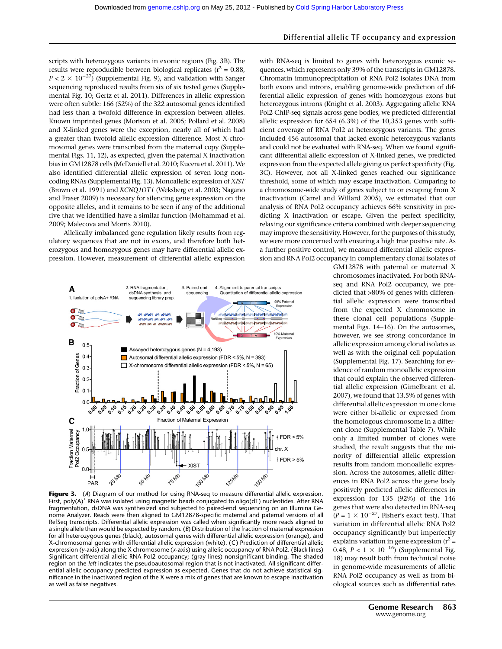scripts with heterozygous variants in exonic regions (Fig. 3B). The results were reproducible between biological replicates ( $r^2 = 0.88$ )  $P < 2 \times 10^{-27}$ ) (Supplemental Fig. 9), and validation with Sanger sequencing reproduced results from six of six tested genes (Supplemental Fig. 10; Gertz et al. 2011). Differences in allelic expression were often subtle: 166 (52%) of the 322 autosomal genes identified had less than a twofold difference in expression between alleles. Known imprinted genes (Morison et al. 2005; Pollard et al. 2008) and X-linked genes were the exception, nearly all of which had a greater than twofold allelic expression difference. Most X-chromosomal genes were transcribed from the maternal copy (Supplemental Figs. 11, 12), as expected, given the paternal X inactivation bias in GM12878 cells (McDaniell et al. 2010; Kucera et al. 2011).We also identified differential allelic expression of seven long noncoding RNAs (Supplemental Fig. 13). Monoallelic expression of XIST (Brown et al. 1991) and KCNQ1OT1 (Weksberg et al. 2003; Nagano and Fraser 2009) is necessary for silencing gene expression on the opposite alleles, and it remains to be seen if any of the additional five that we identified have a similar function (Mohammad et al. 2009; Malecova and Morris 2010).

Allelically imbalanced gene regulation likely results from regulatory sequences that are not in exons, and therefore both heterozygous and homozygous genes may have differential allelic expression. However, measurement of differential allelic expression



Figure 3. (A) Diagram of our method for using RNA-seq to measure differential allelic expression. First, poly(A)<sup>+</sup> RNA was isolated using magnetic beads conjugated to oligo(dT) nucleotides. After RNA fragmentation, dsDNA was synthesized and subjected to paired-end sequencing on an Illumina Genome Analyzer. Reads were then aligned to GM12878-specific maternal and paternal versions of all RefSeq transcripts. Differential allelic expression was called when significantly more reads aligned to a single allele than would be expected by random. (B) Distribution of the fraction of maternal expression for all heterozygous genes (black), autosomal genes with differential allelic expression (orange), and X-chromosomal genes with differential allelic expression (white). (C ) Prediction of differential allelic expression (y-axis) along the X chromosome (x-axis) using allelic occupancy of RNA Pol2. (Black lines) Significant differential allelic RNA Pol2 occupancy; (gray lines) nonsignificant binding. The shaded region on the left indicates the pseudoautosomal region that is not inactivated. All significant differential allelic occupancy predicted expression as expected. Genes that do not achieve statistical significance in the inactivated region of the X were a mix of genes that are known to escape inactivation as well as false negatives.

with RNA-seq is limited to genes with heterozygous exonic sequences, which represents only 39% of the transcripts in GM12878. Chromatin immunoprecipitation of RNA Pol2 isolates DNA from both exons and introns, enabling genome-wide prediction of differential allelic expression of genes with homozygous exons but heterozygous introns (Knight et al. 2003). Aggregating allelic RNA Pol2 ChIP-seq signals across gene bodies, we predicted differential allelic expression for 654 (6.3%) of the 10,353 genes with sufficient coverage of RNA Pol2 at heterozygous variants. The genes included 456 autosomal that lacked exonic heterozygous variants and could not be evaluated with RNA-seq. When we found significant differential allelic expression of X-linked genes, we predicted expression from the expected allele giving us perfect specificity (Fig. 3C). However, not all X-linked genes reached our significance threshold, some of which may escape inactivation. Comparing to a chromosome-wide study of genes subject to or escaping from X inactivation (Carrel and Willard 2005), we estimated that our analysis of RNA Pol2 occupancy achieves 66% sensitivity in predicting X inactivation or escape. Given the perfect specificity, relaxing our significance criteria combined with deeper sequencing may improve the sensitivity. However, for the purposes of this study, we were more concerned with ensuring a high true positive rate. As a further positive control, we measured differential allelic expression and RNA Pol2 occupancy in complementary clonal isolates of

> GM12878 with paternal or maternal X chromosomes inactivated. For both RNAseq and RNA Pol2 occupancy, we predicted that >80% of genes with differential allelic expression were transcribed from the expected X chromosome in these clonal cell populations (Supplemental Figs. 14–16). On the autosomes, however, we see strong concordance in allelic expression among clonal isolates as well as with the original cell population (Supplemental Fig. 17). Searching for evidence of random monoallelic expression that could explain the observed differential allelic expression (Gimelbrant et al. 2007), we found that 13.5% of genes with differential allelic expression in one clone were either bi-allelic or expressed from the homologous chromosome in a different clone (Supplemental Table 7). While only a limited number of clones were studied, the result suggests that the minority of differential allelic expression results from random monoallelic expression. Across the autosomes, allelic differences in RNA Pol2 across the gene body positively predicted allelic differences in expression for 135 (92%) of the 146 genes that were also detected in RNA-seq  $(P = 1 \times 10^{-27}$ , Fisher's exact test). That variation in differential allelic RNA Pol2 occupancy significantly but imperfectly explains variation in gene expression  $(r^2 =$ 0.48,  $P < 1 \times 10^{-16}$ ) (Supplemental Fig. 18) may result both from technical noise in genome-wide measurements of allelic RNA Pol2 occupancy as well as from biological sources such as differential rates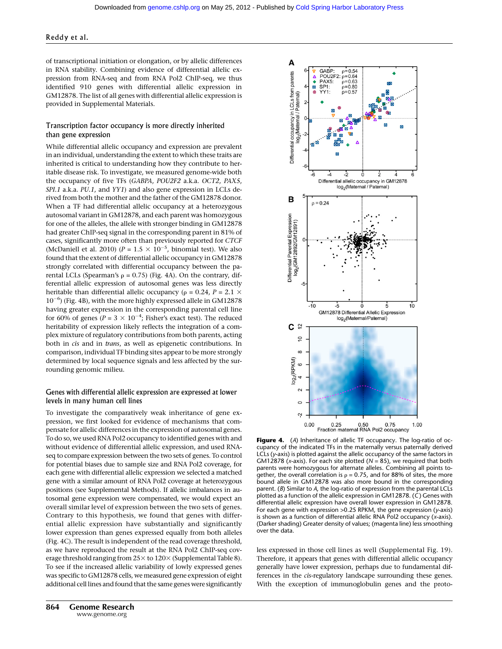of transcriptional initiation or elongation, or by allelic differences in RNA stability. Combining evidence of differential allelic expression from RNA-seq and from RNA Pol2 ChIP-seq, we thus identified 910 genes with differential allelic expression in GM12878. The list of all genes with differential allelic expression is provided in Supplemental Materials.

# Transcription factor occupancy is more directly inherited than gene expression

While differential allelic occupancy and expression are prevalent in an individual, understanding the extent to which these traits are inherited is critical to understanding how they contribute to heritable disease risk. To investigate, we measured genome-wide both the occupancy of five TFs (GABPA, POU2F2 a.k.a. OCT2, PAX5, SPI.1 a.k.a. PU.1, and YY1) and also gene expression in LCLs derived from both the mother and the father of the GM12878 donor. When a TF had differential allelic occupancy at a heterozygous autosomal variant in GM12878, and each parent was homozygous for one of the alleles, the allele with stronger binding in GM12878 had greater ChIP-seq signal in the corresponding parent in 81% of cases, significantly more often than previously reported for CTCF (McDaniell et al. 2010) ( $P = 1.5 \times 10^{-5}$ , binomial test). We also found that the extent of differential allelic occupancy in GM12878 strongly correlated with differential occupancy between the parental LCLs (Spearman's  $\rho = 0.75$ ) (Fig. 4A). On the contrary, differential allelic expression of autosomal genes was less directly heritable than differential allelic occupancy ( $\rho = 0.24$ ,  $P = 2.1 \times$ 10<sup>-6</sup>) (Fig. 4B), with the more highly expressed allele in GM12878 having greater expression in the corresponding parental cell line for 60% of genes ( $P = 3 \times 10^{-4}$ ; Fisher's exact test). The reduced heritability of expression likely reflects the integration of a complex mixture of regulatory contributions from both parents, acting both in cis and in trans, as well as epigenetic contributions. In comparison, individual TF binding sites appear to be more strongly determined by local sequence signals and less affected by the surrounding genomic milieu.

# Genes with differential allelic expression are expressed at lower levels in many human cell lines

To investigate the comparatively weak inheritance of gene expression, we first looked for evidence of mechanisms that compensate for allelic differences in the expression of autosomal genes. To do so, we used RNA Pol2 occupancy to identified genes with and without evidence of differential allelic expression, and used RNAseq to compare expression between the two sets of genes. To control for potential biases due to sample size and RNA Pol2 coverage, for each gene with differential allelic expression we selected a matched gene with a similar amount of RNA Pol2 coverage at heterozygous positions (see Supplemental Methods). If allelic imbalances in autosomal gene expression were compensated, we would expect an overall similar level of expression between the two sets of genes. Contrary to this hypothesis, we found that genes with differential allelic expression have substantially and significantly lower expression than genes expressed equally from both alleles (Fig. 4C). The result is independent of the read coverage threshold, as we have reproduced the result at the RNA Pol2 ChIP-seq coverage threshold ranging from  $25\times$  to  $120\times$  (Supplemental Table 8). To see if the increased allelic variability of lowly expressed genes was specific to GM12878 cells, we measured gene expression of eight additional cell lines and found that the same genes were significantly



Figure 4. (A) Inheritance of allelic TF occupancy. The log-ratio of occupancy of the indicated TFs in the maternally versus paternally derived LCLs (y-axis) is plotted against the allelic occupancy of the same factors in GM12878 (x-axis). For each site plotted ( $N = 85$ ), we required that both parents were homozygous for alternate alleles. Combining all points together, the overall correlation is  $\rho = 0.75$ , and for 88% of sites, the more bound allele in GM12878 was also more bound in the corresponding parent. (B) Similar to A, the log-ratio of expression from the parental LCLs plotted as a function of the allelic expression in GM12878. (C ) Genes with differential allelic expression have overall lower expression in GM12878. For each gene with expression >0.25 RPKM, the gene expression (y-axis) is shown as a function of differential allelic RNA Pol2 occupancy (x-axis). (Darker shading) Greater density of values; (magenta line) less smoothing over the data.

less expressed in those cell lines as well (Supplemental Fig. 19). Therefore, it appears that genes with differential allelic occupancy generally have lower expression, perhaps due to fundamental differences in the cis-regulatory landscape surrounding these genes. With the exception of immunoglobulin genes and the proto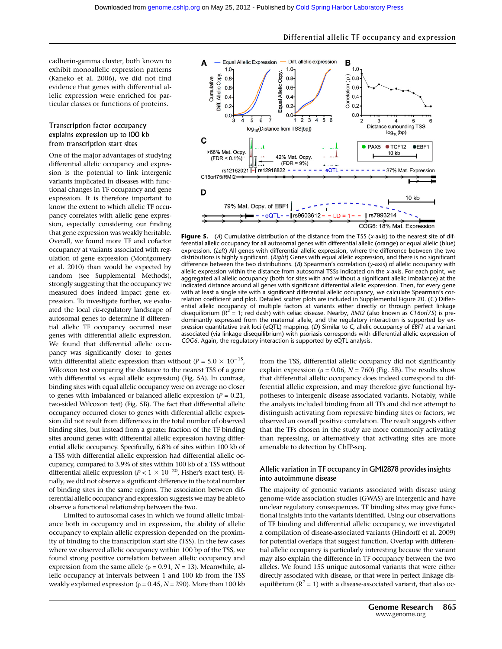cadherin-gamma cluster, both known to exhibit monoallelic expression patterns (Kaneko et al. 2006), we did not find evidence that genes with differential allelic expression were enriched for particular classes or functions of proteins.

# Transcription factor occupancy explains expression up to 100 kb from transcription start sites

One of the major advantages of studying differential allelic occupancy and expression is the potential to link intergenic variants implicated in diseases with functional changes in TF occupancy and gene expression. It is therefore important to know the extent to which allelic TF occupancy correlates with allelic gene expression, especially considering our finding that gene expression was weakly heritable. Overall, we found more TF and cofactor occupancy at variants associated with regulation of gene expression (Montgomery et al. 2010) than would be expected by random (see Supplemental Methods), strongly suggesting that the occupancy we measured does indeed impact gene expression. To investigate further, we evaluated the local cis-regulatory landscape of autosomal genes to determine if differential allelic TF occupancy occurred near genes with differential allelic expression. We found that differential allelic occupancy was significantly closer to genes

with differential allelic expression than without ( $P = 5.0 \times 10^{-15}$ , Wilcoxon test comparing the distance to the nearest TSS of a gene with differential vs. equal allelic expression) (Fig. 5A). In contrast, binding sites with equal allelic occupancy were on average no closer to genes with imbalanced or balanced allelic expression  $(P = 0.21)$ , two-sided Wilcoxon test) (Fig. 5B). The fact that differential allelic occupancy occurred closer to genes with differential allelic expression did not result from differences in the total number of observed binding sites, but instead from a greater fraction of the TF binding sites around genes with differential allelic expression having differential allelic occupancy. Specifically, 6.8% of sites within 100 kb of a TSS with differential allelic expression had differential allelic occupancy, compared to 3.9% of sites within 100 kb of a TSS without differential allelic expression ( $P < 1 \times 10^{-20}$ , Fisher's exact test). Finally, we did not observe a significant difference in the total number of binding sites in the same regions. The association between differential allelic occupancy and expression suggests we may be able to observe a functional relationship between the two.

Limited to autosomal cases in which we found allelic imbalance both in occupancy and in expression, the ability of allelic occupancy to explain allelic expression depended on the proximity of binding to the transcription start site (TSS). In the few cases where we observed allelic occupancy within 100 bp of the TSS, we found strong positive correlation between allelic occupancy and expression from the same allele ( $\rho$  = 0.91, N = 13). Meanwhile, allelic occupancy at intervals between 1 and 100 kb from the TSS weakly explained expression ( $\rho = 0.45$ ,  $N = 290$ ). More than 100 kb



Differential allelic TF occupancy and expression



Figure 5. (A) Cumulative distribution of the distance from the TSS ( $x$ -axis) to the nearest site of differential allelic occupancy for all autosomal genes with differential allelic (orange) or equal allelic (blue) expression. (Left) All genes with differential allelic expression, where the difference between the two distributions is highly significant. (Right) Genes with equal allelic expression, and there is no significant difference between the two distributions. (B) Spearman's correlation (y-axis) of allelic occupancy with allelic expression within the distance from autosomal TSSs indicated on the x-axis. For each point, we aggregated all allelic occupancy (both for sites with and without a significant allelic imbalance) at the indicated distance around all genes with significant differential allelic expression. Then, for every gene with at least a single site with a significant differential allelic occupancy, we calculate Spearman's correlation coefficient and plot. Detailed scatter plots are included in Supplemental Figure 20. (C ) Differential allelic occupancy of multiple factors at variants either directly or through perfect linkage disequilibrium ( $R^2 = 1$ ; red dash) with celiac disease. Nearby, RMI2 (also known as C16orf75) is predominantly expressed from the maternal allele, and the regulatory interaction is supported by expression quantitative trait loci (eQTL) mapping. (D) Similar to C, allelic occupancy of EBF1 at a variant associated (via linkage disequilibrium) with psoriasis corresponds with differential allelic expression of COG6. Again, the regulatory interaction is supported by eQTL analysis.

from the TSS, differential allelic occupancy did not significantly explain expression ( $\rho = 0.06$ ,  $N = 760$ ) (Fig. 5B). The results show that differential allelic occupancy does indeed correspond to differential allelic expression, and may therefore give functional hypotheses to intergenic disease-associated variants. Notably, while the analysis included binding from all TFs and did not attempt to distinguish activating from repressive binding sites or factors, we observed an overall positive correlation. The result suggests either that the TFs chosen in the study are more commonly activating than repressing, or alternatively that activating sites are more amenable to detection by ChIP-seq.

# Allelic variation in TF occupancy in GM12878 provides insights into autoimmune disease

The majority of genomic variants associated with disease using genome-wide association studies (GWAS) are intergenic and have unclear regulatory consequences. TF binding sites may give functional insights into the variants identified. Using our observations of TF binding and differential allelic occupancy, we investigated a compilation of disease-associated variants (Hindorff et al. 2009) for potential overlaps that suggest function. Overlap with differential allelic occupancy is particularly interesting because the variant may also explain the difference in TF occupancy between the two alleles. We found 155 unique autosomal variants that were either directly associated with disease, or that were in perfect linkage disequilibrium  $(R^2 = 1)$  with a disease-associated variant, that also oc-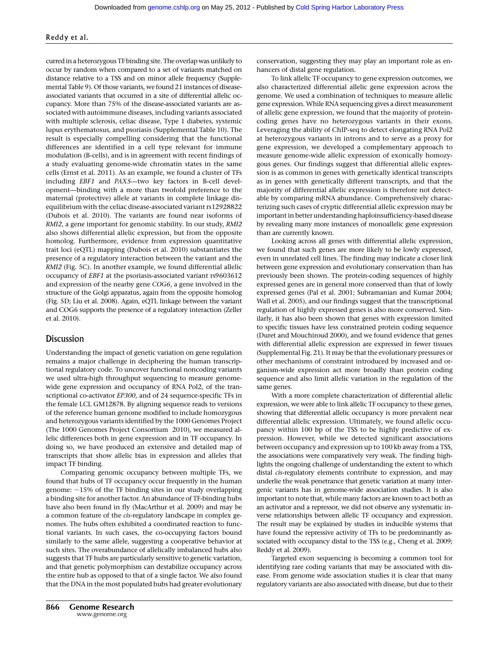curred in a heterozygous TF binding site. The overlap was unlikely to occur by random when compared to a set of variants matched on distance relative to a TSS and on minor allele frequency (Supplemental Table 9). Of those variants, we found 21 instances of diseaseassociated variants that occurred in a site of differential allelic occupancy. More than 75% of the disease-associated variants are associated with autoimmune diseases, including variants associated with multiple sclerosis, celiac disease, Type 1 diabetes, systemic lupus erythematosus, and psoriasis (Supplemental Table 10). The result is especially compelling considering that the functional differences are identified in a cell type relevant for immune modulation (B-cells), and is in agreement with recent findings of a study evaluating genome-wide chromatin states in the same cells (Ernst et al. 2011). As an example, we found a cluster of TFs including EBF1 and PAX5—two key factors in B-cell development—binding with a more than twofold preference to the maternal (protective) allele at variants in complete linkage disequilibrium with the celiac disease-associated variant rs12928822 (Dubois et al. 2010). The variants are found near isoforms of RMI2, a gene important for genomic stability. In our study, RMI2 also shows differential allelic expression, but from the opposite homolog. Furthermore, evidence from expression quantitative trait loci (eQTL) mapping (Dubois et al. 2010) substantiates the presence of a regulatory interaction between the variant and the RMI2 (Fig. 5C). In another example, we found differential allelic occupancy of EBF1 at the psoriasis-associated variant rs9603612 and expression of the nearby gene COG6, a gene involved in the structure of the Golgi apparatus, again from the opposite homolog (Fig. 5D; Liu et al. 2008). Again, eQTL linkage between the variant and COG6 supports the presence of a regulatory interaction (Zeller et al. 2010).

# **Discussion**

Understanding the impact of genetic variation on gene regulation remains a major challenge in deciphering the human transcriptional regulatory code. To uncover functional noncoding variants we used ultra-high throughput sequencing to measure genomewide gene expression and occupancy of RNA Pol2, of the transcriptional co-activator EP300, and of 24 sequence-specific TFs in the female LCL GM12878. By aligning sequence reads to versions of the reference human genome modified to include homozygous and heterozygous variants identified by the 1000 Genomes Project (The 1000 Genomes Project Consortium 2010), we measured allelic differences both in gene expression and in TF occupancy. In doing so, we have produced an extensive and detailed map of transcripts that show allelic bias in expression and alleles that impact TF binding.

Comparing genomic occupancy between multiple TFs, we found that hubs of TF occupancy occur frequently in the human genome:  $~15\%$  of the TF binding sites in our study overlapping a binding site for another factor. An abundance of TF-binding hubs have also been found in fly (MacArthur et al. 2009) and may be a common feature of the cis-regulatory landscape in complex genomes. The hubs often exhibited a coordinated reaction to functional variants. In such cases, the co-occupying factors bound similarly to the same allele, suggesting a cooperative behavior at such sites. The overabundance of allelically imbalanced hubs also suggests that TF hubs are particularly sensitive to genetic variation, and that genetic polymorphism can destabilize occupancy across the entire hub as opposed to that of a single factor. We also found that the DNA in the most populated hubs had greater evolutionary conservation, suggesting they may play an important role as enhancers of distal gene regulation.

To link allelic TF occupancy to gene expression outcomes, we also characterized differential allelic gene expression across the genome. We used a combination of techniques to measure allelic gene expression. While RNA sequencing gives a direct measurement of allelic gene expression, we found that the majority of proteincoding genes have no heterozygous variants in their exons. Leveraging the ability of ChIP-seq to detect elongating RNA Pol2 at heterozygous variants in introns and to serve as a proxy for gene expression, we developed a complementary approach to measure genome-wide allelic expression of exonically homozygous genes. Our findings suggest that differential allelic expression is as common in genes with genetically identical transcripts as in genes with genetically different transcripts, and that the majority of differential allelic expression is therefore not detectable by comparing mRNA abundance. Comprehensively characterizing such cases of cryptic differential allelic expression may be important in better understanding haploinsufficiency-based disease by revealing many more instances of monoallelic gene expression than are currently known.

Looking across all genes with differential allelic expression, we found that such genes are more likely to be lowly expressed, even in unrelated cell lines. The finding may indicate a closer link between gene expression and evolutionary conservation than has previously been shown. The protein-coding sequences of highly expressed genes are in general more conserved than that of lowly expressed genes (Pal et al. 2001; Subramanian and Kumar 2004; Wall et al. 2005), and our findings suggest that the transcriptional regulation of highly expressed genes is also more conserved. Similarly, it has also been shown that genes with expression limited to specific tissues have less constrained protein coding sequence (Duret and Mouchiroud 2000), and we found evidence that genes with differential allelic expression are expressed in fewer tissues (Supplemental Fig. 21). It may be that the evolutionary pressures or other mechanisms of constraint introduced by increased and organism-wide expression act more broadly than protein coding sequence and also limit allelic variation in the regulation of the same genes.

With a more complete characterization of differential allelic expression, we were able to link allelic TF occupancy to these genes, showing that differential allelic occupancy is more prevalent near differential allelic expression. Ultimately, we found allelic occupancy within 100 bp of the TSS to be highly predictive of expression. However, while we detected significant associations between occupancy and expression up to 100 kb away from a TSS, the associations were comparatively very weak. The finding highlights the ongoing challenge of understanding the extent to which distal cis-regulatory elements contribute to expression, and may underlie the weak penetrance that genetic variation at many intergenic variants has in genome-wide association studies. It is also important to note that, while many factors are known to act both as an activator and a repressor, we did not observe any systematic inverse relationships between allelic TF occupancy and expression. The result may be explained by studies in inducible systems that have found the repressive activity of TFs to be predominantly associated with occupancy distal to the TSS (e.g., Cheng et al. 2009; Reddy et al. 2009).

Targeted exon sequencing is becoming a common tool for identifying rare coding variants that may be associated with disease. From genome wide association studies it is clear that many regulatory variants are also associated with disease, but due to their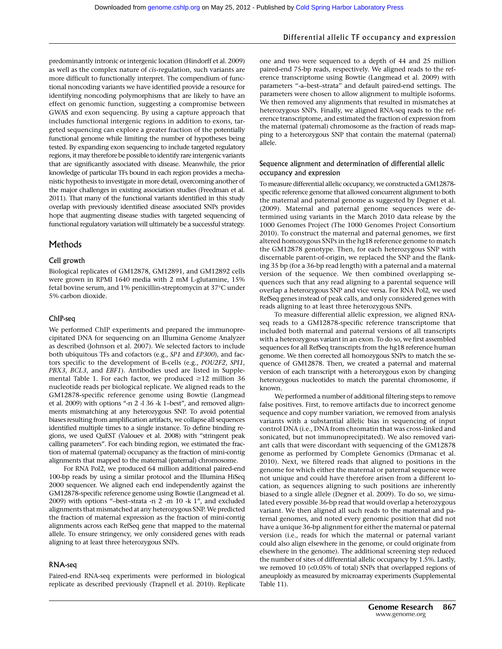predominantly intronic or intergenic location (Hindorff et al. 2009) as well as the complex nature of cis-regulation, such variants are more difficult to functionally interpret. The compendium of functional noncoding variants we have identified provide a resource for identifying noncoding polymorphisms that are likely to have an effect on genomic function, suggesting a compromise between GWAS and exon sequencing. By using a capture approach that includes functional intergenic regions in addition to exons, targeted sequencing can explore a greater fraction of the potentially functional genome while limiting the number of hypotheses being tested. By expanding exon sequencing to include targeted regulatory regions, itmay therefore be possible to identify rare intergenic variants that are significantly associated with disease. Meanwhile, the prior knowledge of particular TFs bound in each region provides a mechanistic hypothesis to investigate in more detail, overcoming another of the major challenges in existing association studies (Freedman et al. 2011). That many of the functional variants identified in this study overlap with previously identified disease associated SNPs provides hope that augmenting disease studies with targeted sequencing of functional regulatory variation will ultimately be a successful strategy.

# Methods

# Cell growth

Biological replicates of GM12878, GM12891, and GM12892 cells were grown in RPMI 1640 media with 2 mM L-glutamine, 15% fetal bovine serum, and 1% penicillin-streptomycin at 37°C under 5% carbon dioxide.

# ChIP-seq

We performed ChIP experiments and prepared the immunoprecipitated DNA for sequencing on an Illumina Genome Analyzer as described (Johnson et al. 2007). We selected factors to include both ubiquitous TFs and cofactors (e.g., SP1 and EP300), and factors specific to the development of B-cells (e.g., POU2F2, SPI1, PBX3, BCL3, and EBF1). Antibodies used are listed in Supplemental Table 1. For each factor, we produced  $\geq$ 12 million 36 nucleotide reads per biological replicate. We aligned reads to the GM12878-specific reference genome using Bowtie (Langmead et al. 2009) with options "-n 2 -l 36 -k 1-best", and removed alignments mismatching at any heterozygous SNP. To avoid potential biases resulting from amplification artifacts, we collapse all sequences identified multiple times to a single instance. To define binding regions, we used QuEST (Valouev et al. 2008) with ''stringent peak calling parameters''. For each binding region, we estimated the fraction of maternal (paternal) occupancy as the fraction of mini-contig alignments that mapped to the maternal (paternal) chromosome.

For RNA Pol2, we produced 64 million additional paired-end 100-bp reads by using a similar protocol and the Illumina HiSeq 2000 sequencer. We aligned each end independently against the GM12878-specific reference genome using Bowtie (Langmead et al. 2009) with options ''–best–strata -n 2 -m 10 -k 1'', and excluded alignments that mismatched at any heterozygous SNP.We predicted the fraction of maternal expression as the fraction of mini-contig alignments across each RefSeq gene that mapped to the maternal allele. To ensure stringency, we only considered genes with reads aligning to at least three heterozygous SNPs.

#### RNA-seq

Paired-end RNA-seq experiments were performed in biological replicate as described previously (Trapnell et al. 2010). Replicate one and two were sequenced to a depth of 44 and 25 million paired-end 75-bp reads, respectively. We aligned reads to the reference transcriptome using Bowtie (Langmead et al. 2009) with parameters ''-a–best–strata'' and default paired-end settings. The parameters were chosen to allow alignment to multiple isoforms. We then removed any alignments that resulted in mismatches at heterozygous SNPs. Finally, we aligned RNA-seq reads to the reference transcriptome, and estimated the fraction of expression from the maternal (paternal) chromosome as the fraction of reads mapping to a heterozygous SNP that contain the maternal (paternal) allele.

#### Sequence alignment and determination of differential allelic occupancy and expression

To measure differential allelic occupancy, we constructed a GM12878 specific reference genome that allowed concurrent alignment to both the maternal and paternal genome as suggested by Degner et al. (2009). Maternal and paternal genome sequences were determined using variants in the March 2010 data release by the 1000 Genomes Project (The 1000 Genomes Project Consortium 2010). To construct the maternal and paternal genomes, we first altered homozygous SNPs in the hg18 reference genome to match the GM12878 genotype. Then, for each heterozygous SNP with discernable parent-of-origin, we replaced the SNP and the flanking 35 bp (for a 36-bp read length) with a paternal and a maternal version of the sequence. We then combined overlapping sequences such that any read aligning to a parental sequence will overlap a heterozygous SNP and vice versa. For RNA Pol2, we used RefSeq genes instead of peak calls, and only considered genes with reads aligning to at least three heterozygous SNPs.

To measure differential allelic expression, we aligned RNAseq reads to a GM12878-specific reference transcriptome that included both maternal and paternal versions of all transcripts with a heterozygous variant in an exon. To do so, we first assembled sequences for all RefSeq transcripts from the hg18 reference human genome. We then corrected all homozygous SNPs to match the sequence of GM12878. Then, we created a paternal and maternal version of each transcript with a heterozygous exon by changing heterozygous nucleotides to match the parental chromosome, if known.

We performed a number of additional filtering steps to remove false positives. First, to remove artifacts due to incorrect genome sequence and copy number variation, we removed from analysis variants with a substantial allelic bias in sequencing of input control DNA (i.e., DNA from chromatin that was cross-linked and sonicated, but not immunoprecipitated). We also removed variant calls that were discordant with sequencing of the GM12878 genome as performed by Complete Genomics (Drmanac et al. 2010). Next, we filtered reads that aligned to positions in the genome for which either the maternal or paternal sequence were not unique and could have therefore arisen from a different location, as sequences aligning to such positions are inherently biased to a single allele (Degner et al. 2009). To do so, we simulated every possible 36-bp read that would overlap a heterozygous variant. We then aligned all such reads to the maternal and paternal genomes, and noted every genomic position that did not have a unique 36-bp alignment for either the maternal or paternal version (i.e., reads for which the maternal or paternal variant could also align elsewhere in the genome, or could originate from elsewhere in the genome). The additional screening step reduced the number of sites of differential allelic occupancy by 1.5%. Lastly, we removed 10 (<0.05% of total) SNPs that overlapped regions of aneuploidy as measured by microarray experiments (Supplemental Table 11).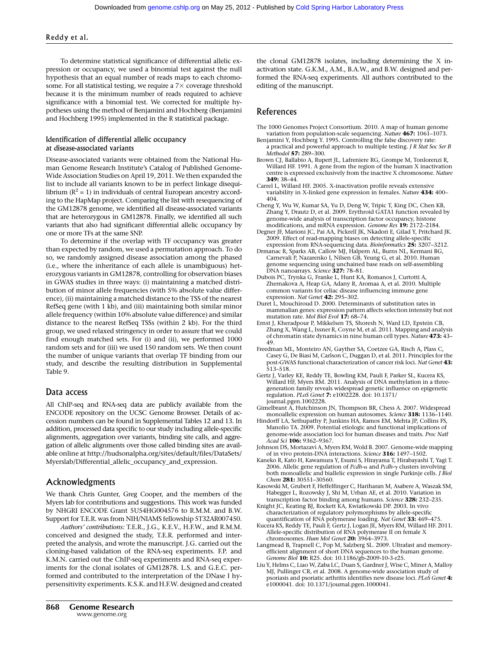To determine statistical significance of differential allelic expression or occupancy, we used a binomial test against the null hypothesis that an equal number of reads maps to each chromosome. For all statistical testing, we require a  $7\times$  coverage threshold because it is the minimum number of reads required to achieve significance with a binomial test. We corrected for multiple hypotheses using the method of Benjamini and Hochberg (Benjamini and Hochberg 1995) implemented in the R statistical package.

# Identification of differential allelic occupancy at disease-associated variants

Disease-associated variants were obtained from the National Human Genome Research Institute's Catalog of Published Genome-Wide Association Studies on April 19, 2011. We then expanded the list to include all variants known to be in perfect linkage disequilibrium  $(R^2 = 1)$  in individuals of central European ancestry according to the HapMap project. Comparing the list with resequencing of the GM12878 genome, we identified all disease-associated variants that are heterozygous in GM12878. Finally, we identified all such variants that also had significant differential allelic occupancy by one or more TFs at the same SNP.

To determine if the overlap with TF occupancy was greater than expected by random, we used a permutation approach. To do so, we randomly assigned disease association among the phased (i.e., where the inheritance of each allele is unambiguous) heterozygous variants in GM12878, controlling for observation biases in GWAS studies in three ways: (i) maintaining a matched distribution of minor allele frequencies (with 5% absolute value difference), (ii) maintaining a matched distance to the TSS of the nearest RefSeq gene (with 1 kb), and (iii) maintaining both similar minor allele frequency (within 10% absolute value difference) and similar distance to the nearest RefSeq TSSs (within 2 kb). For the third group, we used relaxed stringency in order to assure that we could find enough matched sets. For (i) and (ii), we performed 1000 random sets and for (iii) we used 150 random sets. We then count the number of unique variants that overlap TF binding from our study, and describe the resulting distribution in Supplemental Table 9.

# Data access

All ChIP-seq and RNA-seq data are publicly available from the ENCODE repository on the UCSC Genome Browser. Details of accession numbers can be found in Supplemental Tables 12 and 13. In addition, processed data specific to our study including allele-specific alignments, aggregation over variants, binding site calls, and aggregation of allelic alignments over those called binding sites are available online at [http://hudsonalpha.org/sites/default/files/DataSets/](http://hudsonalpha.org/sites/default/files/DataSets/Myerslab/Differential_allelic_occupancy_and_expression) [Myerslab/Differential\\_allelic\\_occupancy\\_and\\_expression](http://hudsonalpha.org/sites/default/files/DataSets/Myerslab/Differential_allelic_occupancy_and_expression).

# Acknowledgments

We thank Chris Gunter, Greg Cooper, and the members of the Myers lab for contributions and suggestions. This work was funded by NHGRI ENCODE Grant 5U54HG004576 to R.M.M. and B.W. Support for T.E.R. was from NIH/NIAMS fellowship 5T32AR007450.

Authors' contributions: T.E.R., J.G., K.E.V., H.F.W., and R.M.M. conceived and designed the study, T.E.R. performed and interpreted the analysis, and wrote the manuscript. J.G. carried out the cloning-based validation of the RNA-seq experiments. F.P. and K.M.N. carried out the ChIP-seq experiments and RNA-seq experiments for the clonal isolates of GM12878. L.S. and G.E.C. performed and contributed to the interpretation of the DNase I hypersensitivity experiments. K.S.K. and H.F.W. designed and created the clonal GM12878 isolates, including determining the X inactivation state. G.K.M., A.M., B.A.W., and B.W. designed and performed the RNA-seq experiments. All authors contributed to the editing of the manuscript.

# References

- The 1000 Genomes Project Consortium. 2010. A map of human genome variation from population-scale sequencing. Nature 467: 1061-1073.
- Benjamini Y, Hochberg Y. 1995. Controlling the false discovery rate: a practical and powerful approach to multiple testing. J R Stat Soc Ser B Methodol 57: 289–300.
- Brown CJ, Ballabio A, Rupert JL, Lafreniere RG, Grompe M, Tonlorenzi R, Willard HF. 1991. A gene from the region of the human X inactivation centre is expressed exclusively from the inactive X chromosome. Nature 349: 38–44.
- Carrel L, Willard HF. 2005. X-inactivation profile reveals extensive variability in X-linked gene expression in females. Nature 434: 400-404.
- Cheng Y, Wu W, Kumar SA, Yu D, Deng W, Tripic T, King DC, Chen KB, Zhang Y, Drautz D, et al. 2009. Erythroid GATA1 function revealed by genome-wide analysis of transcription factor occupancy, histone modifications, and mRNA expression. Genome Res 19: 2172–2184.
- Degner JF, Marioni JC, Pai AA, Pickrell JK, Nkadori E, Gilad Y, Pritchard JK. 2009. Effect of read-mapping biases on detecting allele-specific expression from RNA-sequencing data. Bioinformatics 25: 3207-3212.
- Drmanac R, Sparks AB, Callow MJ, Halpern AL, Burns NL, Kermani BG, Carnevali P, Nazarenko I, Nilsen GB, Yeung G, et al. 2010. Human genome sequencing using unchained base reads on self-assembling DNA nanoarrays. Science 327: 78–81.
- Dubois PC, Trynka G, Franke L, Hunt KA, Romanos J, Curtotti A, Zhernakova A, Heap GA, Adany R, Aromaa A, et al. 2010. Multiple common variants for celiac disease influencing immune gene expression. Nat Genet 42: 295–302.
- Duret L, Mouchiroud D. 2000. Determinants of substitution rates in mammalian genes: expression pattern affects selection intensity but not mutation rate. Mol Biol Evol 17: 68-74.
- Ernst J, Kheradpour P, Mikkelsen TS, Shoresh N, Ward LD, Epstein CB, Zhang X, Wang L, Issner R, Coyne M, et al. 2011. Mapping and analysis of chromatin state dynamics in nine human cell types. Nature 473: 43– 49.
- Freedman ML, Monteiro AN, Gayther SA, Coetzee GA, Risch A, Plass C, Casey G, De Biasi M, Carlson C, Duggan D, et al. 2011. Principles for the post-GWAS functional characterization of cancer risk loci. Nat Genet 43: 513–518.
- Gertz J, Varley KE, Reddy TE, Bowling KM, Pauli F, Parker SL, Kucera KS, Willard HF, Myers RM. 2011. Analysis of DNA methylation in a threegeneration family reveals widespread genetic influence on epigenetic regulation. PLoS Genet 7: e1002228. doi: 10.1371/ journal.pgen.1002228.
- Gimelbrant A, Hutchinson JN, Thompson BR, Chess A. 2007. Widespread monoallelic expression on human autosomes. Science 318: 1136–1140.
- Hindorff LA, Sethupathy P, Junkins HA, Ramos EM, Mehta JP, Collins FS, Manolio TA. 2009. Potential etiologic and functional implications of genome-wide association loci for human diseases and traits. Proc Natl Acad Sci 106: 9362-9367.
- Johnson DS, Mortazavi A, Myers RM, Wold B. 2007. Genome-wide mapping of in vivo protein-DNA interactions. Science 316: 1497–1502.
- Kaneko R, Kato H, Kawamura Y, Esumi S, Hirayama T, Hirabayashi T, Yagi T. 2006. Allelic gene regulation of  $Pcdh$ - $\alpha$  and  $Pcdh$ - $\gamma$  clusters involving both monoallelic and biallelic expression in single Purkinje cells. J Biol Chem 281: 30551-30560
- Kasowski M, Grubert F, Heffelfinger C, Hariharan M, Asabere A, Waszak SM, Habegger L, Rozowsky J, Shi M, Urban AE, et al. 2010. Variation in transcription factor binding among humans. Science 328: 232-235.
- Knight JC, Keating BJ, Rockett KA, Kwiatkowski DP. 2003. In vivo characterization of regulatory polymorphisms by allele-specific
- quantification of RNA polymerase loading. Nat Genet 33: 469–475. Kucera KS, Reddy TE, Pauli F, Gertz J, Logan JE, Myers RM, Willard HF. 2011. Allele-specific distribution of RNA polymerase II on female X chromosomes. Hum Mol Genet 20: 3964-3973.
- Langmead B, Trapnell C, Pop M, Salzberg SL. 2009. Ultrafast and memoryefficient alignment of short DNA sequences to the human genome. Genome Biol 10: R25. doi: 10.1186/gb-2009-10-3-r25.
- Liu Y, Helms C, Liao W, Zaba LC, Duan S, Gardner J, Wise C, Miner A, Malloy MJ, Pullinger CR, et al. 2008. A genome-wide association study of psoriasis and psoriatic arthritis identifies new disease loci. PLoS Genet 4: e1000041. doi: 10.1371/journal.pgen.1000041.